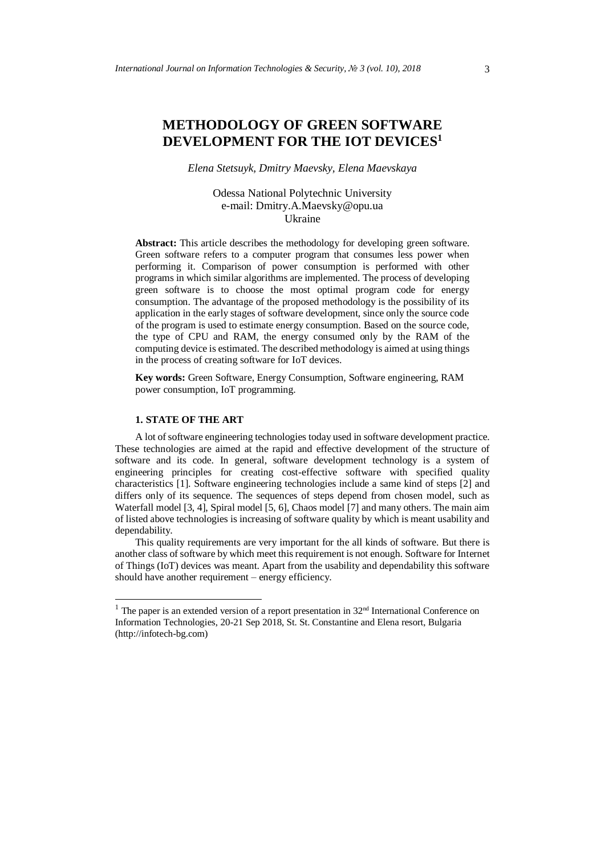# **METHODOLOGY OF GREEN SOFTWARE DEVELOPMENT FOR THE IOT DEVICES<sup>1</sup>**

*Elena Stetsuyk, Dmitry Maevsky, Elena Maevskaya*

Odessa National Polytechnic University e-mail: Dmitry.A.Maevsky@opu.ua Ukraine

**Abstract:** This article describes the methodology for developing green software. Green software refers to a computer program that consumes less power when performing it. Comparison of power consumption is performed with other programs in which similar algorithms are implemented. The process of developing green software is to choose the most optimal program code for energy consumption. The advantage of the proposed methodology is the possibility of its application in the early stages of software development, since only the source code of the program is used to estimate energy consumption. Based on the source code, the type of CPU and RAM, the energy consumed only by the RAM of the computing device is estimated. The described methodology is aimed at using things in the process of creating software for IoT devices.

**Key words:** Green Software, Energy Consumption, Software engineering, RAM power consumption, IoT programming.

## **1. STATE OF THE ART**

1

A lot of software engineering technologies today used in software development practice. These technologies are aimed at the rapid and effective development of the structure of software and its code. In general, software development technology is a system of engineering principles for creating cost-effective software with specified quality characteristics [1]. Software engineering technologies include a same kind of steps [2] and differs only of its sequence. The sequences of steps depend from chosen model, such as Waterfall model [3, 4], Spiral model [5, 6]. Chaos model [7] and many others. The main aim of listed above technologies is increasing of software quality by which is meant usability and dependability.

This quality requirements are very important for the all kinds of software. But there is another class of software by which meet this requirement is not enough. Software for Internet of Things (IoT) devices was meant. Apart from the usability and dependability this software should have another requirement – energy efficiency.

<sup>&</sup>lt;sup>1</sup> The paper is an extended version of a report presentation in  $32<sup>nd</sup>$  International Conference on Information Technologies, 20-21 Sep 2018, St. St. Constantine and Elena resort, Bulgaria (http://infotech-bg.com)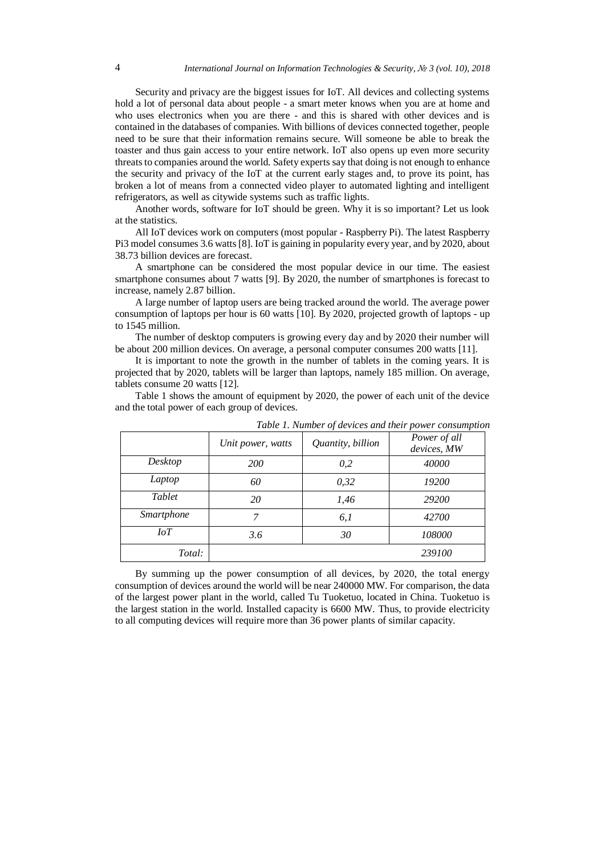Security and privacy are the biggest issues for IoT. All devices and collecting systems hold a lot of personal data about people - a smart meter knows when you are at home and who uses electronics when you are there - and this is shared with other devices and is contained in the databases of companies. With billions of devices connected together, people need to be sure that their information remains secure. Will someone be able to break the toaster and thus gain access to your entire network. IoT also opens up even more security threats to companies around the world. Safety experts say that doing is not enough to enhance the security and privacy of the IoT at the current early stages and, to prove its point, has broken a lot of means from a connected video player to automated lighting and intelligent refrigerators, as well as citywide systems such as traffic lights.

Another words, software for IoT should be green. Why it is so important? Let us look at the statistics.

All IoT devices work on computers (most popular - Raspberry Pi). The latest Raspberry Pi3 model consumes 3.6 watts [8]. IoT is gaining in popularity every year, and by 2020, about 38.73 billion devices are forecast.

A smartphone can be considered the most popular device in our time. The easiest smartphone consumes about 7 watts [9]. By 2020, the number of smartphones is forecast to increase, namely 2.87 billion.

A large number of laptop users are being tracked around the world. The average power consumption of laptops per hour is 60 watts [10]. By 2020, projected growth of laptops - up to 1545 million.

The number of desktop computers is growing every day and by 2020 their number will be about 200 million devices. On average, a personal computer consumes 200 watts [11].

It is important to note the growth in the number of tablets in the coming years. It is projected that by 2020, tablets will be larger than laptops, namely 185 million. On average, tablets consume 20 watts [12].

Table 1 shows the amount of equipment by 2020, the power of each unit of the device and the total power of each group of devices.

|             | Unit power, watts | Quantity, billion | Power of all<br>devices, MW |
|-------------|-------------------|-------------------|-----------------------------|
| Desktop     | <i>200</i>        | 0,2               | 40000                       |
| Laptop      | 60                | 0,32              | 19200                       |
| Tablet      | 20                | 1,46              | 29200                       |
| Smartphone  | 7                 | 6,1               | 42700                       |
| $I \circ T$ | 3.6               | 30                | 108000                      |
| Total:      |                   |                   | 239100                      |

*Table 1. Number of devices and their power consumption*

By summing up the power consumption of all devices, by 2020, the total energy consumption of devices around the world will be near 240000 MW. For comparison, the data of the largest power plant in the world, called Tu Tuoketuo, located in China. Tuoketuo is the largest station in the world. Installed capacity is 6600 MW. Thus, to provide electricity to all computing devices will require more than 36 power plants of similar capacity.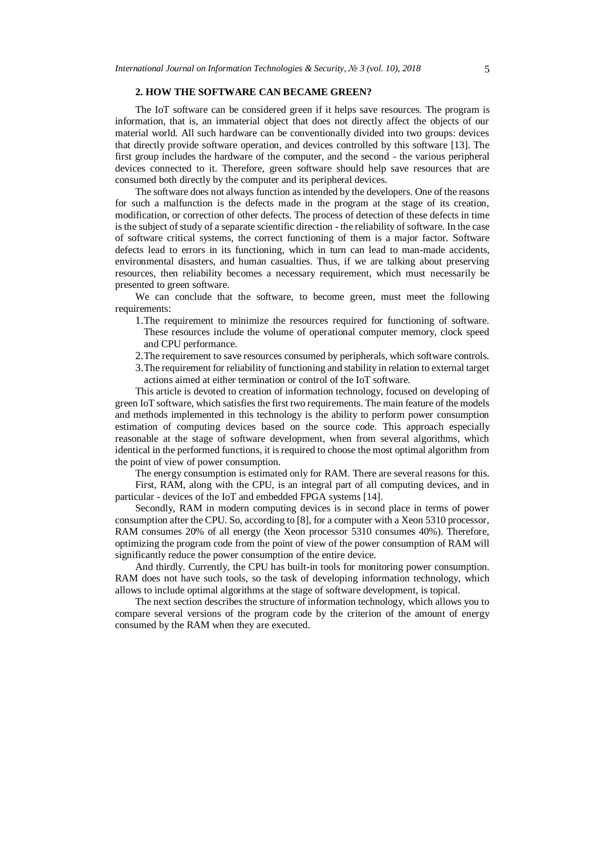### **2. HOW THE SOFTWARE CAN BECAME GREEN?**

The IoT software can be considered green if it helps save resources. The program is information, that is, an immaterial object that does not directly affect the objects of our material world. All such hardware can be conventionally divided into two groups: devices that directly provide software operation, and devices controlled by this software [13]. The first group includes the hardware of the computer, and the second - the various peripheral devices connected to it. Therefore, green software should help save resources that are consumed both directly by the computer and its peripheral devices.

The software does not always function as intended by the developers. One of the reasons for such a malfunction is the defects made in the program at the stage of its creation, modification, or correction of other defects. The process of detection of these defects in time is the subject of study of a separate scientific direction - the reliability of software. In the case of software critical systems, the correct functioning of them is a major factor. Software defects lead to errors in its functioning, which in turn can lead to man-made accidents, environmental disasters, and human casualties. Thus, if we are talking about preserving resources, then reliability becomes a necessary requirement, which must necessarily be presented to green software.

We can conclude that the software, to become green, must meet the following requirements:

- 1.The requirement to minimize the resources required for functioning of software. These resources include the volume of operational computer memory, clock speed and CPU performance.
- 2.The requirement to save resources consumed by peripherals, which software controls.
- 3.The requirement for reliability of functioning and stability in relation to external target actions aimed at either termination or control of the IoT software.

This article is devoted to creation of information technology, focused on developing of green IoT software, which satisfies the first two requirements. The main feature of the models and methods implemented in this technology is the ability to perform power consumption estimation of computing devices based on the source code. This approach especially reasonable at the stage of software development, when from several algorithms, which identical in the performed functions, it is required to choose the most optimal algorithm from the point of view of power consumption.

The energy consumption is estimated only for RAM. There are several reasons for this. First, RAM, along with the CPU, is an integral part of all computing devices, and in

particular - devices of the IoT and embedded FPGA systems [14].

Secondly, RAM in modern computing devices is in second place in terms of power consumption after the CPU. So, according to [8], for a computer with a Xeon 5310 processor, RAM consumes 20% of all energy (the Xeon processor 5310 consumes 40%). Therefore, optimizing the program code from the point of view of the power consumption of RAM will significantly reduce the power consumption of the entire device.

And thirdly. Currently, the CPU has built-in tools for monitoring power consumption. RAM does not have such tools, so the task of developing information technology, which allows to include optimal algorithms at the stage of software development, is topical.

The next section describes the structure of information technology, which allows you to compare several versions of the program code by the criterion of the amount of energy consumed by the RAM when they are executed.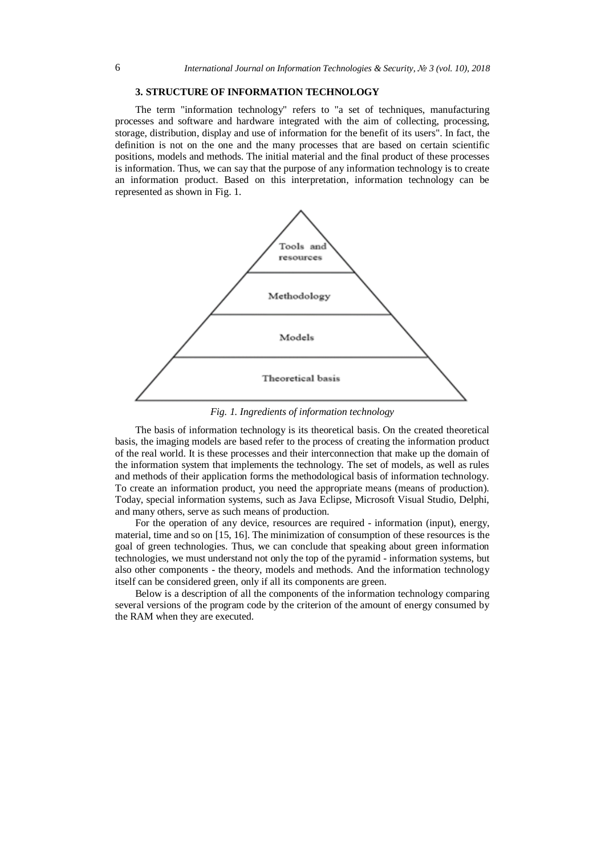## **3. STRUCTURE OF INFORMATION TECHNOLOGY**

The term "information technology" refers to "a set of techniques, manufacturing processes and software and hardware integrated with the aim of collecting, processing, storage, distribution, display and use of information for the benefit of its users". In fact, the definition is not on the one and the many processes that are based on certain scientific positions, models and methods. The initial material and the final product of these processes is information. Thus, we can say that the purpose of any information technology is to create an information product. Based on this interpretation, information technology can be represented as shown in Fig. 1.



*Fig. 1. Ingredients of information technology*

The basis of information technology is its theoretical basis. On the created theoretical basis, the imaging models are based refer to the process of creating the information product of the real world. It is these processes and their interconnection that make up the domain of the information system that implements the technology. The set of models, as well as rules and methods of their application forms the methodological basis of information technology. To create an information product, you need the appropriate means (means of production). Today, special information systems, such as Java Eclipse, Microsoft Visual Studio, Delphi, and many others, serve as such means of production.

For the operation of any device, resources are required - information (input), energy, material, time and so on [15, 16]. The minimization of consumption of these resources is the goal of green technologies. Thus, we can conclude that speaking about green information technologies, we must understand not only the top of the pyramid - information systems, but also other components - the theory, models and methods. And the information technology itself can be considered green, only if all its components are green.

Below is a description of all the components of the information technology comparing several versions of the program code by the criterion of the amount of energy consumed by the RAM when they are executed.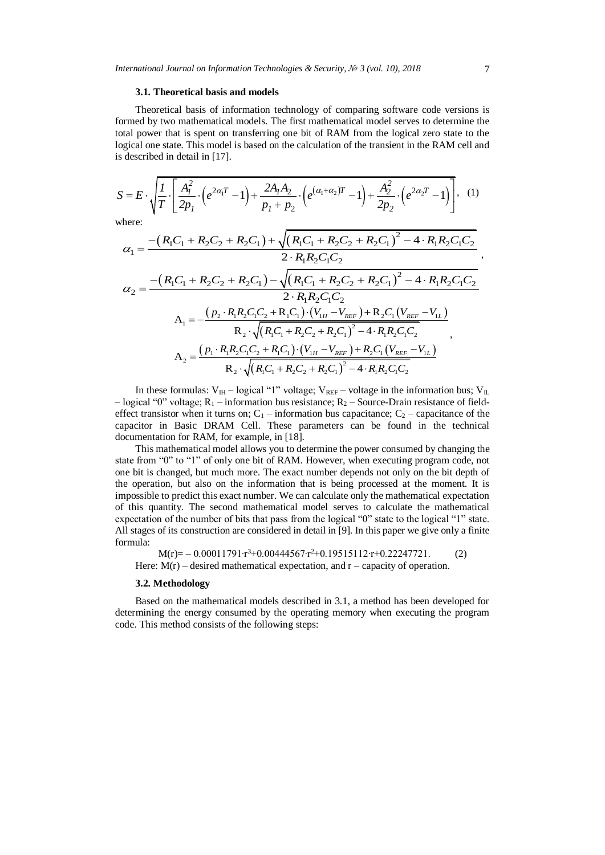#### **3.1. Theoretical basis and models**

Theoretical basis of information technology of comparing software code versions is formed by two mathematical models. The first mathematical model serves to determine the total power that is spent on transferring one bit of RAM from the logical zero state to the is described in detail in [17].

total power that is spent on uansicting one of the WAWH from the logical Zeto state to the  
logical one state. This model is based on the calculation of the transient in the RAM cell and  
is described in detail in [17].  

$$
S = E \cdot \sqrt{\frac{I}{T} \cdot \left[ \frac{A_I^2}{2p_I} \cdot \left( e^{2\alpha_I T} - 1 \right) + \frac{2A_I A_2}{p_I + p_2} \cdot \left( e^{(\alpha_1 + \alpha_2)T} - 1 \right) + \frac{A_2^2}{2p_2} \cdot \left( e^{2\alpha_2 T} - 1 \right) \right]},
$$
 (1)  
where:  

$$
\alpha_1 = \frac{-\left(R_1 C_1 + R_2 C_2 + R_2 C_1\right) + \sqrt{\left(R_1 C_1 + R_2 C_2 + R_2 C_1\right)^2 - 4 \cdot R_1 R_2 C_1 C_2}}{2 \cdot R_2 R_2 C_1}
$$

where:

$$
\sqrt{I} \left[2p_{1} \right] \left[2p_{1} \right] \left[2p_{2} \right] \left[2p_{2} \right] \left[2p_{2} \right] \left[2p_{2} \right] \left[2p_{2} \right] \left[2p_{2} \right] \left[2p_{2} \right] \left[2p_{2} \right] \left[2p_{2} \right] \left[2p_{2} \right] \left[2p_{2} \right] \left[2p_{2} \right] \left[2p_{2} \right] \left[2p_{2} \right] \left[2p_{2} \right] \left[2p_{2} \right] \left[2p_{2} \right] \left[2p_{2} \right] \left[2p_{2} \right] \left[2p_{2} \right] \left[2p_{2} \right] \left[2p_{2} \right] \left[2p_{2} \right] \left[2p_{2} \right] \left[2p_{2} \right] \left[2p_{2} \right] \left[2p_{2} \right] \left[2p_{2} \right] \left[2p_{2} \right] \left[2p_{2} \right] \left[2p_{2} \right] \left[2p_{2} \right] \left[2p_{2} \right] \left[2p_{2} \right] \left[2p_{2} \right] \left[2p_{2} \right] \left[2p_{2} \right] \left[2p_{2} \right] \left[2p_{2} \right] \left[2p_{2} \right] \left[2p_{2} \right] \left[2p_{2} \right] \left[2p_{2} \right] \left[2p_{2} \right] \left[2p_{2} \right] \left[2p_{2} \right] \left[2p_{2} \right] \left[2p_{2} \right] \left[2p_{2} \right] \left[2p_{2} \right] \left[2p_{2} \right] \left[2p_{2} \right] \left[2p_{2} \right] \left[2p_{2} \right] \left[2p_{2} \right] \left[2p_{2} \right] \left[2p_{2} \right] \left[2p_{2} \right] \left[2p_{2} \right] \left[2p_{2} \right] \left[2p_{2} \right] \left[2p_{2} \right] \left[2p_{2} \right] \left[2p_{2} \right] \left[2p_{2} \right] \left[2p_{2} \right] \left[2p_{2
$$

In these formulas:  $V_{\text{IH}}$  – logical "1" voltage;  $V_{\text{REF}}$  – voltage in the information bus;  $V_{\text{IL}}$ – logical "0" voltage;  $R_1$  – information bus resistance;  $R_2$  – Source-Drain resistance of fieldeffect transistor when it turns on;  $C_1$  – information bus capacitance;  $C_2$  – capacitance of the capacitor in Basic DRAM Cell. These parameters can be found in the technical documentation for RAM, for example, in [18].

This mathematical model allows you to determine the power consumed by changing the state from "0" to "1" of only one bit of RAM. However, when executing program code, not one bit is changed, but much more. The exact number depends not only on the bit depth of the operation, but also on the information that is being processed at the moment. It is impossible to predict this exact number. We can calculate only the mathematical expectation of this quantity. The second mathematical model serves to calculate the mathematical expectation of the number of bits that pass from the logical "0" state to the logical "1" state. All stages of its construction are considered in detail in [9]. In this paper we give only a finite formula:

 $M(r) = -0.00011791 \cdot r^3 + 0.00444567 \cdot r^2 + 0.19515112 \cdot r + 0.22247721.$  (2) Here:  $M(r)$  – desired mathematical expectation, and  $r$  – capacity of operation.

#### **3.2. Methodology**

Based on the mathematical models described in 3.1, a method has been developed for determining the energy consumed by the operating memory when executing the program code. This method consists of the following steps: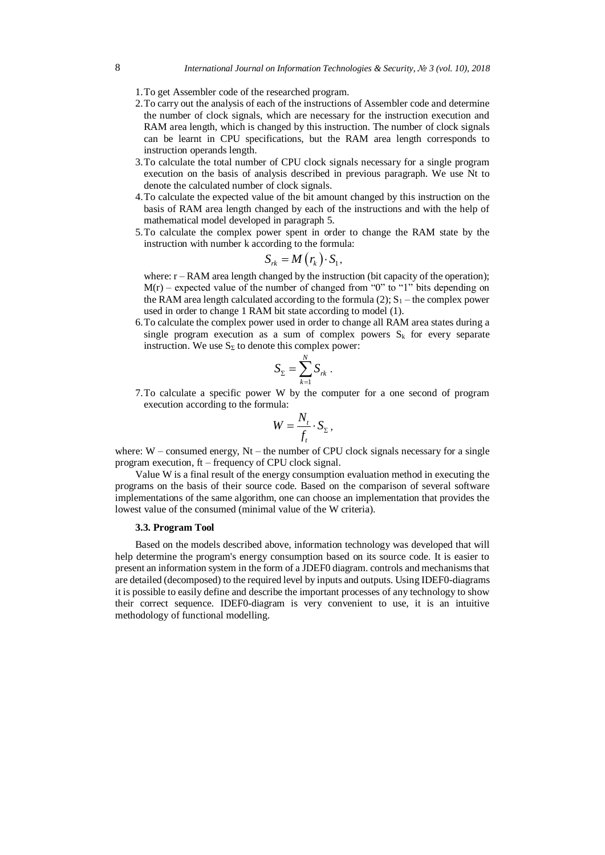- 1.To get Assembler code of the researched program.
- 2.To carry out the analysis of each of the instructions of Assembler code and determine the number of clock signals, which are necessary for the instruction execution and RAM area length, which is changed by this instruction. The number of clock signals can be learnt in CPU specifications, but the RAM area length corresponds to instruction operands length.
- 3.To calculate the total number of CPU clock signals necessary for a single program execution on the basis of analysis described in previous paragraph. We use Nt to denote the calculated number of clock signals.
- 4.To calculate the expected value of the bit amount changed by this instruction on the basis of RAM area length changed by each of the instructions and with the help of mathematical model developed in paragraph 5.
- 5.To calculate the complex power spent in order to change the RAM state by the instruction with number k according to the formula:

$$
S_{rk} = M(r_k) \cdot S_1,
$$

where:  $r - RAM$  area length changed by the instruction (bit capacity of the operation);  $M(r)$  – expected value of the number of changed from "0" to "1" bits depending on the RAM area length calculated according to the formula (2);  $S_1$  – the complex power used in order to change 1 RAM bit state according to model (1).

6.To calculate the complex power used in order to change all RAM area states during a single program execution as a sum of complex powers  $S_k$  for every separate instruction. We use  $S_{\Sigma}$  to denote this complex power:

$$
S_{\Sigma} = \sum_{k=1}^{N} S_{rk}.
$$

7.To calculate a specific power W by the computer for a one second of program execution according to the formula:

$$
W = \frac{N_t}{f_t} \cdot S_{\Sigma},
$$

where:  $W$  – consumed energy,  $Nt$  – the number of CPU clock signals necessary for a single program execution, ft – frequency of CPU clock signal.

Value W is a final result of the energy consumption evaluation method in executing the programs on the basis of their source code. Based on the comparison of several software implementations of the same algorithm, one can choose an implementation that provides the lowest value of the consumed (minimal value of the W criteria).

## **3.3. Program Tool**

Based on the models described above, information technology was developed that will help determine the program's energy consumption based on its source code. It is easier to present an information system in the form of a JDEF0 diagram. controls and mechanisms that are detailed (decomposed) to the required level by inputs and outputs. Using IDEF0-diagrams it is possible to easily define and describe the important processes of any technology to show their correct sequence. IDEF0-diagram is very convenient to use, it is an intuitive methodology of functional modelling.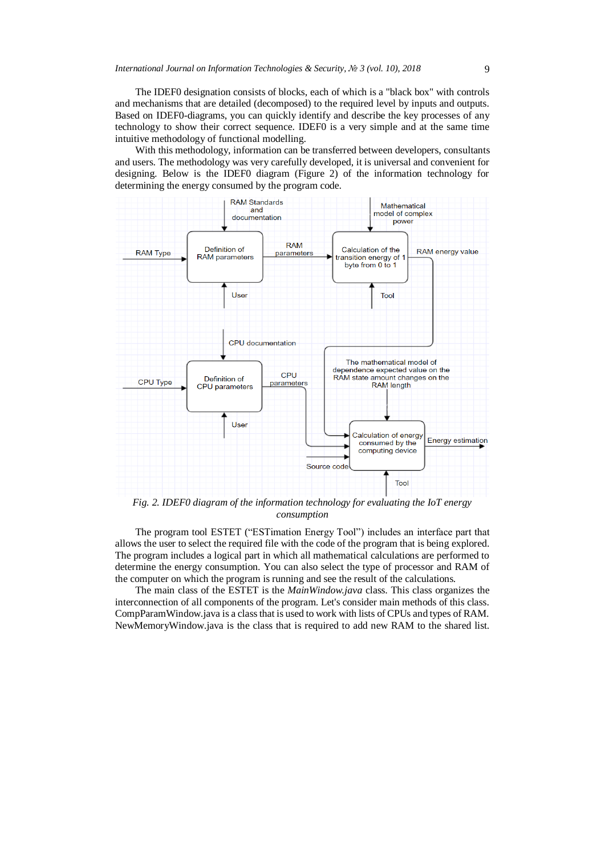The IDEF0 designation consists of blocks, each of which is a "black box" with controls and mechanisms that are detailed (decomposed) to the required level by inputs and outputs. Based on IDEF0-diagrams, you can quickly identify and describe the key processes of any technology to show their correct sequence. IDEF0 is a very simple and at the same time intuitive methodology of functional modelling.

With this methodology, information can be transferred between developers, consultants and users. The methodology was very carefully developed, it is universal and convenient for designing. Below is the IDEF0 diagram (Figure 2) of the information technology for determining the energy consumed by the program code.



*Fig. 2. IDEF0 diagram of the information technology for evaluating the IoT energy consumption*

The program tool ESTET ("ESTimation Energy Tool") includes an interface part that allows the user to select the required file with the code of the program that is being explored. The program includes a logical part in which all mathematical calculations are performed to determine the energy consumption. You can also select the type of processor and RAM of the computer on which the program is running and see the result of the calculations.

The main class of the ESTET is the *MainWindow.java* class. This class organizes the interconnection of all components of the program. Let's consider main methods of this class. CompParamWindow.java is a class that is used to work with lists of CPUs and types of RAM. NewMemoryWindow.java is the class that is required to add new RAM to the shared list.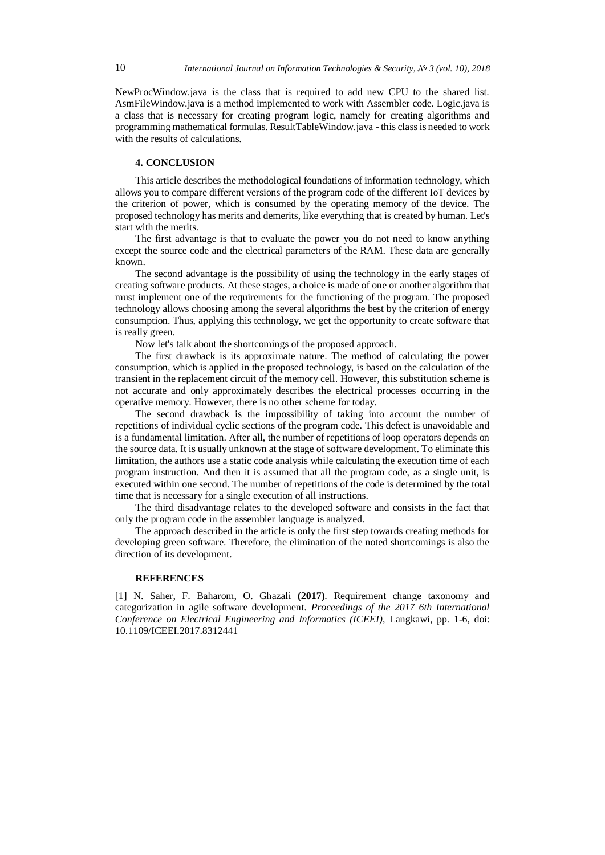NewProcWindow.java is the class that is required to add new CPU to the shared list. AsmFileWindow.java is a method implemented to work with Assembler code. Logic.java is a class that is necessary for creating program logic, namely for creating algorithms and programming mathematical formulas. ResultTableWindow.java - this class is needed to work with the results of calculations.

# **4. CONCLUSION**

This article describes the methodological foundations of information technology, which allows you to compare different versions of the program code of the different IoT devices by the criterion of power, which is consumed by the operating memory of the device. The proposed technology has merits and demerits, like everything that is created by human. Let's start with the merits.

The first advantage is that to evaluate the power you do not need to know anything except the source code and the electrical parameters of the RAM. These data are generally known.

The second advantage is the possibility of using the technology in the early stages of creating software products. At these stages, a choice is made of one or another algorithm that must implement one of the requirements for the functioning of the program. The proposed technology allows choosing among the several algorithms the best by the criterion of energy consumption. Thus, applying this technology, we get the opportunity to create software that is really green.

Now let's talk about the shortcomings of the proposed approach.

The first drawback is its approximate nature. The method of calculating the power consumption, which is applied in the proposed technology, is based on the calculation of the transient in the replacement circuit of the memory cell. However, this substitution scheme is not accurate and only approximately describes the electrical processes occurring in the operative memory. However, there is no other scheme for today.

The second drawback is the impossibility of taking into account the number of repetitions of individual cyclic sections of the program code. This defect is unavoidable and is a fundamental limitation. After all, the number of repetitions of loop operators depends on the source data. It is usually unknown at the stage of software development. To eliminate this limitation, the authors use a static code analysis while calculating the execution time of each program instruction. And then it is assumed that all the program code, as a single unit, is executed within one second. The number of repetitions of the code is determined by the total time that is necessary for a single execution of all instructions.

The third disadvantage relates to the developed software and consists in the fact that only the program code in the assembler language is analyzed.

The approach described in the article is only the first step towards creating methods for developing green software. Therefore, the elimination of the noted shortcomings is also the direction of its development.

#### **REFERENCES**

[1] N. Saher, F. Baharom, O. Ghazali **(2017)**. Requirement change taxonomy and categorization in agile software development. *Proceedings of the 2017 6th International Conference on Electrical Engineering and Informatics (ICEEI)*, Langkawi, pp. 1-6, doi: 10.1109/ICEEI.2017.8312441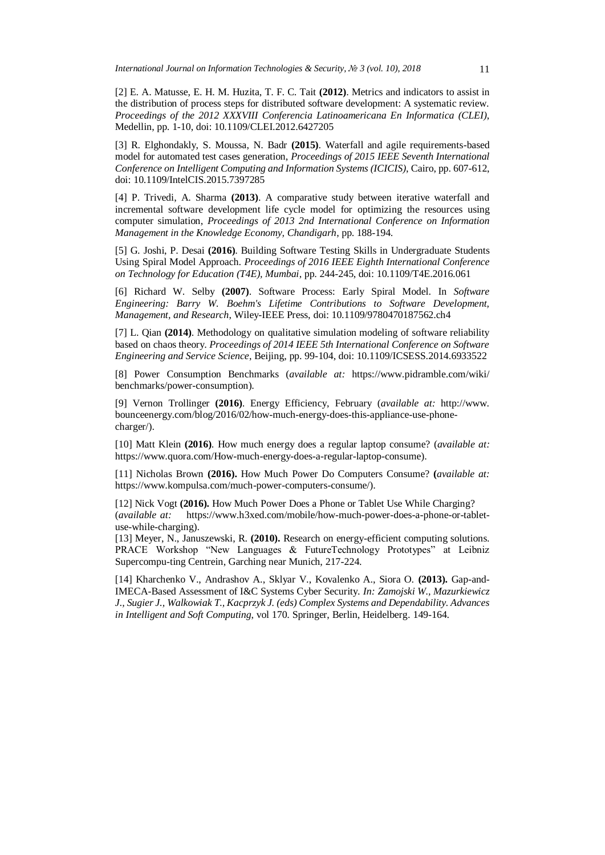[2] E. A. Matusse, E. H. M. Huzita, T. F. C. Tait **(2012)**. Metrics and indicators to assist in the distribution of process steps for distributed software development: A systematic review. *Proceedings of the 2012 XXXVIII Conferencia Latinoamericana En Informatica (CLEI)*, Medellin, pp. 1-10, doi: 10.1109/CLEI.2012.6427205

[3] R. Elghondakly, S. Moussa, N. Badr **(2015)**. Waterfall and agile requirements-based model for automated test cases generation, *Proceedings of 2015 IEEE Seventh International Conference on Intelligent Computing and Information Systems (ICICIS)*, Cairo, pp. 607-612, doi: 10.1109/IntelCIS.2015.7397285

[4] P. Trivedi, A. Sharma **(2013)**. A comparative study between iterative waterfall and incremental software development life cycle model for optimizing the resources using computer simulation, *Proceedings of 2013 2nd International Conference on Information Management in the Knowledge Economy, Chandigarh*, pp. 188-194.

[5] G. Joshi, P. Desai **(2016)**. Building Software Testing Skills in Undergraduate Students Using Spiral Model Approach. *Proceedings of 2016 IEEE Eighth International Conference on Technology for Education (T4E), Mumbai*, pp. 244-245, doi: 10.1109/T4E.2016.061

[6] Richard W. Selby **(2007)**. Software Process: Early Spiral Model. In *Software Engineering: Barry W. Boehm's Lifetime Contributions to Software Development, Management, and Research*, Wiley-IEEE Press, doi: 10.1109/9780470187562.ch4

[7] L. Qian **(2014)**. Methodology on qualitative simulation modeling of software reliability based on chaos theory. *Proceedings of 2014 IEEE 5th International Conference on Software Engineering and Service Science*, Beijing, pp. 99-104, doi: 10.1109/ICSESS.2014.6933522

[8] Power Consumption Benchmarks (*available at:* https://www.pidramble.com/wiki/ benchmarks/power-consumption).

[9] Vernon Trollinger **(2016)**. [Energy Efficiency,](http://www.bounceenergy.com/blog/category/energy-efficiency/) February (*available at:* http://www. bounceenergy.com/blog/2016/02/how-much-energy-does-this-appliance-use-phonecharger/).

[10] Matt Klein **(2016)**. How much energy does a regular laptop consume? (*available at:*  https://www.quora.com/How-much-energy-does-a-regular-laptop-consume).

[11] Nicholas Brown **(2016).** How Much Power Do Computers Consume? **(***available at:*  https://www.kompulsa.com/much-power-computers-consume/).

[12[\] Nick](https://plus.google.com/113612449972365936112?rel=author) Vogt **(2016).** How Much Power Does a Phone or Tablet Use While Charging? (*available at:* https://www.h3xed.com/mobile/how-much-power-does-a-phone-or-tabletuse-while-charging).

[13] Meyer, N., Januszewski, R. **(2010).** Research on energy-efficient computing solutions. PRACE Workshop "New Languages & FutureTechnology Prototypes" at Leibniz Supercompu-ting Centrein, Garching near Munich, 217-224.

[14] Kharchenko V., Andrashov A., Sklyar V., Kovalenko A., Siora O. **(2013).** Gap-and-IMECA-Based Assessment of I&C Systems Cyber Security. *In: Zamojski W., Mazurkiewicz J., Sugier J., Walkowiak T., Kacprzyk J. (eds) Complex Systems and Dependability. Advances in Intelligent and Soft Computing*, vol 170. Springer, Berlin, Heidelberg. 149-164.